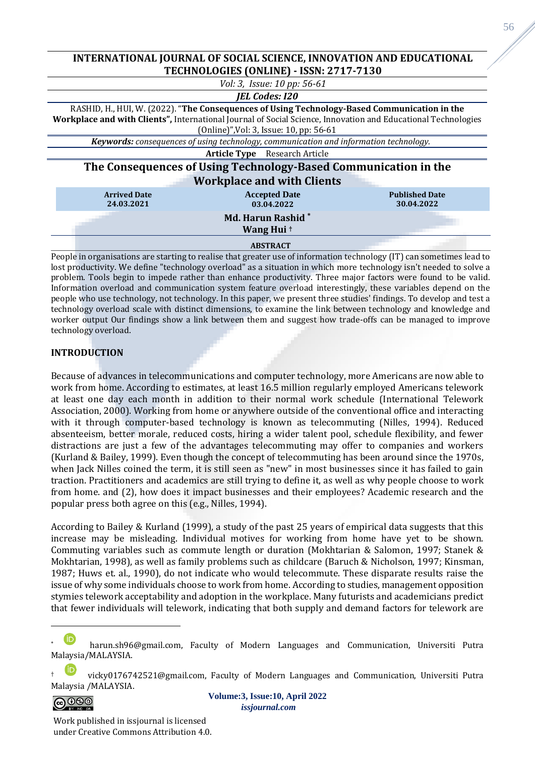# **INTERNATIONAL JOURNAL OF SOCIAL SCIENCE, INNOVATION AND EDUCATIONAL TECHNOLOGIES (ONLINE) - ISSN: 2717-7130**



People in organisations are starting to realise that greater use of information technology (IT) can sometimes lead to lost productivity. We define "technology overload" as a situation in which more technology isn't needed to solve a problem. Tools begin to impede rather than enhance productivity. Three major factors were found to be valid. Information overload and communication system feature overload interestingly, these variables depend on the people who use technology, not technology. In this paper, we present three studies' findings. To develop and test a technology overload scale with distinct dimensions, to examine the link between technology and knowledge and worker output Our findings show a link between them and suggest how trade-offs can be managed to improve technology overload.

# **INTRODUCTION**

Because of advances in telecommunications and computer technology, more Americans are now able to work from home. According to estimates, at least 16.5 million regularly employed Americans telework at least one day each month in addition to their normal work schedule (International Telework Association, 2000). Working from home or anywhere outside of the conventional office and interacting with it through computer-based technology is known as telecommuting (Nilles, 1994). Reduced absenteeism, better morale, reduced costs, hiring a wider talent pool, schedule flexibility, and fewer distractions are just a few of the advantages telecommuting may offer to companies and workers (Kurland & Bailey, 1999). Even though the concept of telecommuting has been around since the 1970s, when Jack Nilles coined the term, it is still seen as "new" in most businesses since it has failed to gain traction. Practitioners and academics are still trying to define it, as well as why people choose to work from home. and (2), how does it impact businesses and their employees? Academic research and the popular press both agree on this (e.g., Nilles, 1994).

According to Bailey & Kurland (1999), a study of the past 25 years of empirical data suggests that this increase may be misleading. Individual motives for working from home have yet to be shown. Commuting variables such as commute length or duration (Mokhtarian & Salomon, 1997; Stanek & Mokhtarian, 1998), as well as family problems such as childcare (Baruch & Nicholson, 1997; Kinsman, 1987; Huws et. al., 1990), do not indicate who would telecommute. These disparate results raise the issue of why some individuals choose to work from home. According to studies, management opposition stymies telework acceptability and adoption in the workplace. Many futurists and academicians predict that fewer individuals will telework, indicating that both supply and demand factors for telework are

vickv0176742521@gmail.com, Faculty of Modern Languages and Communication, Universiti Putra Malaysia /MALAYSIA.



**Volume:3, Issue:10, April 2022** *issjournal.com*

Work published in issjournal is licensed under Creative Commons Attribution 4.0.

harun.sh96@gmail.com, Faculty of Modern Languages and Communication, Universiti Putra Malaysia/MALAYSIA.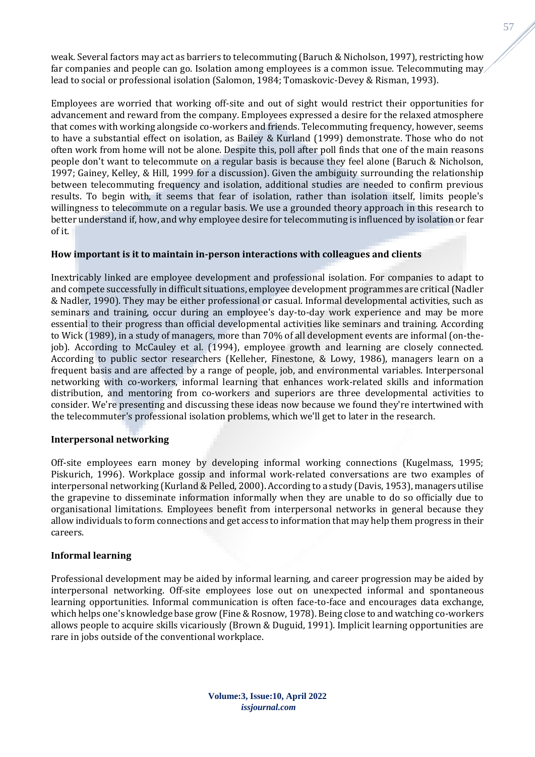weak. Several factors may act as barriers to telecommuting (Baruch & Nicholson, 1997), restricting how far companies and people can go. Isolation among employees is a common issue. Telecommuting may lead to social or professional isolation (Salomon, 1984; Tomaskovic-Devey & Risman, 1993).

Employees are worried that working off-site and out of sight would restrict their opportunities for advancement and reward from the company. Employees expressed a desire for the relaxed atmosphere that comes with working alongside co-workers and friends. Telecommuting frequency, however, seems to have a substantial effect on isolation, as Bailey & Kurland (1999) demonstrate. Those who do not often work from home will not be alone. Despite this, poll after poll finds that one of the main reasons people don't want to telecommute on a regular basis is because they feel alone (Baruch & Nicholson, 1997; Gainey, Kelley, & Hill, 1999 for a discussion). Given the ambiguity surrounding the relationship between telecommuting frequency and isolation, additional studies are needed to confirm previous results. To begin with, it seems that fear of isolation, rather than isolation itself, limits people's willingness to telecommute on a regular basis. We use a grounded theory approach in this research to better understand if, how, and why employee desire for telecommuting is influenced by isolation or fear of it.

# **How important is it to maintain in-person interactions with colleagues and clients**

Inextricably linked are employee development and professional isolation. For companies to adapt to and compete successfully in difficult situations, employee development programmes are critical (Nadler & Nadler, 1990). They may be either professional or casual. Informal developmental activities, such as seminars and training, occur during an employee's day-to-day work experience and may be more essential to their progress than official developmental activities like seminars and training. According to Wick (1989), in a study of managers, more than 70% of all development events are informal (on-thejob). According to McCauley et al. (1994), employee growth and learning are closely connected. According to public sector researchers (Kelleher, Finestone, & Lowy, 1986), managers learn on a frequent basis and are affected by a range of people, job, and environmental variables. Interpersonal networking with co-workers, informal learning that enhances work-related skills and information distribution, and mentoring from co-workers and superiors are three developmental activities to consider. We're presenting and discussing these ideas now because we found they're intertwined with the telecommuter's professional isolation problems, which we'll get to later in the research.

### **Interpersonal networking**

Off-site employees earn money by developing informal working connections (Kugelmass, 1995; Piskurich, 1996). Workplace gossip and informal work-related conversations are two examples of interpersonal networking (Kurland & Pelled, 2000). According to a study (Davis, 1953), managers utilise the grapevine to disseminate information informally when they are unable to do so officially due to organisational limitations. Employees benefit from interpersonal networks in general because they allow individuals to form connections and get access to information that may help them progress in their careers.

### **Informal learning**

Professional development may be aided by informal learning, and career progression may be aided by interpersonal networking. Off-site employees lose out on unexpected informal and spontaneous learning opportunities. Informal communication is often face-to-face and encourages data exchange, which helps one's knowledge base grow (Fine & Rosnow, 1978). Being close to and watching co-workers allows people to acquire skills vicariously (Brown & Duguid, 1991). Implicit learning opportunities are rare in jobs outside of the conventional workplace.

**Volume:3, Issue:10, April 2022** *issjournal.com*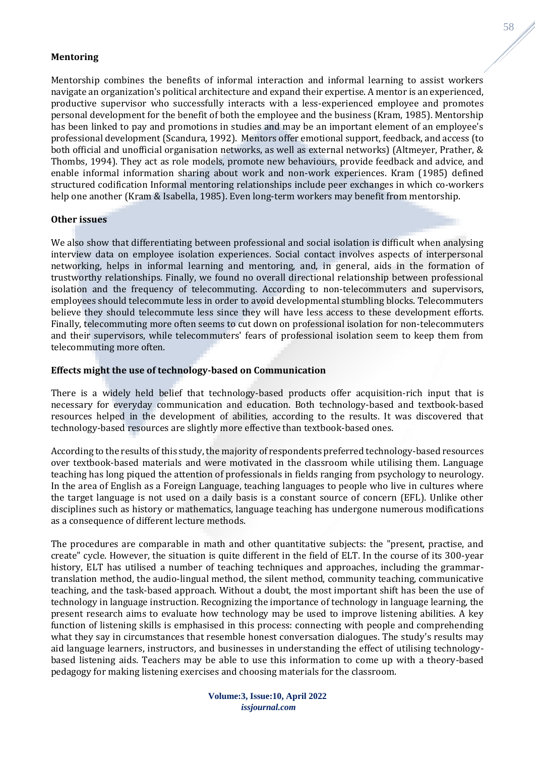### **Mentoring**

Mentorship combines the benefits of informal interaction and informal learning to assist workers navigate an organization's political architecture and expand their expertise. A mentor is an experienced, productive supervisor who successfully interacts with a less-experienced employee and promotes personal development for the benefit of both the employee and the business (Kram, 1985). Mentorship has been linked to pay and promotions in studies and may be an important element of an employee's professional development (Scandura, 1992). Mentors offer emotional support, feedback, and access (to both official and unofficial organisation networks, as well as external networks) (Altmeyer, Prather, & Thombs, 1994). They act as role models, promote new behaviours, provide feedback and advice, and enable informal information sharing about work and non-work experiences. Kram (1985) defined structured codification Informal mentoring relationships include peer exchanges in which co-workers help one another (Kram & Isabella, 1985). Even long-term workers may benefit from mentorship.

#### **Other issues**

We also show that differentiating between professional and social isolation is difficult when analysing interview data on employee isolation experiences. Social contact involves aspects of interpersonal networking, helps in informal learning and mentoring, and, in general, aids in the formation of trustworthy relationships. Finally, we found no overall directional relationship between professional isolation and the frequency of telecommuting. According to non-telecommuters and supervisors, employees should telecommute less in order to avoid developmental stumbling blocks. Telecommuters believe they should telecommute less since they will have less access to these development efforts. Finally, telecommuting more often seems to cut down on professional isolation for non-telecommuters and their supervisors, while telecommuters' fears of professional isolation seem to keep them from telecommuting more often.

### **Effects might the use of technology-based on Communication**

There is a widely held belief that technology-based products offer acquisition-rich input that is necessary for everyday communication and education. Both technology-based and textbook-based resources helped in the development of abilities, according to the results. It was discovered that technology-based resources are slightly more effective than textbook-based ones.

According to the results of this study, the majority of respondents preferred technology-based resources over textbook-based materials and were motivated in the classroom while utilising them. Language teaching has long piqued the attention of professionals in fields ranging from psychology to neurology. In the area of English as a Foreign Language, teaching languages to people who live in cultures where the target language is not used on a daily basis is a constant source of concern (EFL). Unlike other disciplines such as history or mathematics, language teaching has undergone numerous modifications as a consequence of different lecture methods.

The procedures are comparable in math and other quantitative subjects: the "present, practise, and create" cycle. However, the situation is quite different in the field of ELT. In the course of its 300-year history, ELT has utilised a number of teaching techniques and approaches, including the grammartranslation method, the audio-lingual method, the silent method, community teaching, communicative teaching, and the task-based approach. Without a doubt, the most important shift has been the use of technology in language instruction. Recognizing the importance of technology in language learning, the present research aims to evaluate how technology may be used to improve listening abilities. A key function of listening skills is emphasised in this process: connecting with people and comprehending what they say in circumstances that resemble honest conversation dialogues. The study's results may aid language learners, instructors, and businesses in understanding the effect of utilising technologybased listening aids. Teachers may be able to use this information to come up with a theory-based pedagogy for making listening exercises and choosing materials for the classroom.

**Volume:3, Issue:10, April 2022** *issjournal.com*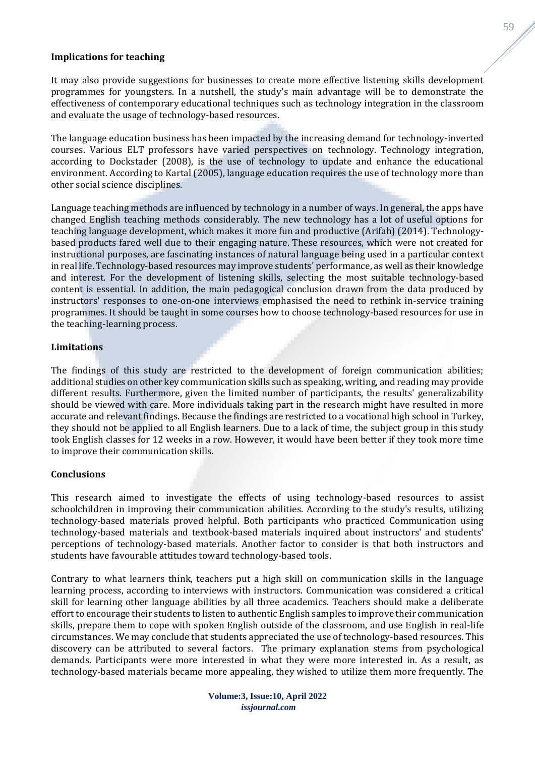### **Implications for teaching**

It may also provide suggestions for businesses to create more effective listening skills development programmes for youngsters. In a nutshell, the study's main advantage will be to demonstrate the effectiveness of contemporary educational techniques such as technology integration in the classroom and evaluate the usage of technology-based resources.

The language education business has been impacted by the increasing demand for technology-inverted courses. Various ELT professors have varied perspectives on technology. Technology integration, according to Dockstader (2008), is the use of technology to update and enhance the educational environment. According to Kartal (2005), language education requires the use of technology more than other social science disciplines.

Language teaching methods are influenced by technology in a number of ways. In general, the apps have changed English teaching methods considerably. The new technology has a lot of useful options for teaching language development, which makes it more fun and productive (Arifah) (2014). Technologybased products fared well due to their engaging nature. These resources, which were not created for instructional purposes, are fascinating instances of natural language being used in a particular context in real life. Technology-based resources may improve students' performance, as well as their knowledge and interest. For the development of listening skills, selecting the most suitable technology-based content is essential. In addition, the main pedagogical conclusion drawn from the data produced by instructors' responses to one-on-one interviews emphasised the need to rethink in-service training programmes. It should be taught in some courses how to choose technology-based resources for use in the teaching-learning process.

### **Limitations**

The findings of this study are restricted to the development of foreign communication abilities; additional studies on other key communication skills such as speaking, writing, and reading may provide different results. Furthermore, given the limited number of participants, the results' generalizability should be viewed with care. More individuals taking part in the research might have resulted in more accurate and relevant findings. Because the findings are restricted to a vocational high school in Turkey, they should not be applied to all English learners. Due to a lack of time, the subject group in this study took English classes for 12 weeks in a row. However, it would have been better if they took more time to improve their communication skills.

### **Conclusions**

This research aimed to investigate the effects of using technology-based resources to assist schoolchildren in improving their communication abilities. According to the study's results, utilizing technology-based materials proved helpful. Both participants who practiced Communication using technology-based materials and textbook-based materials inquired about instructors' and students' perceptions of technology-based materials. Another factor to consider is that both instructors and students have favourable attitudes toward technology-based tools.

Contrary to what learners think, teachers put a high skill on communication skills in the language learning process, according to interviews with instructors. Communication was considered a critical skill for learning other language abilities by all three academics. Teachers should make a deliberate effort to encourage their students to listen to authentic English samples to improve their communication skills, prepare them to cope with spoken English outside of the classroom, and use English in real-life circumstances. We may conclude that students appreciated the use of technology-based resources. This discovery can be attributed to several factors. The primary explanation stems from psychological demands. Participants were more interested in what they were more interested in. As a result, as technology-based materials became more appealing, they wished to utilize them more frequently. The 59

**Volume:3, Issue:10, April 2022** *issjournal.com*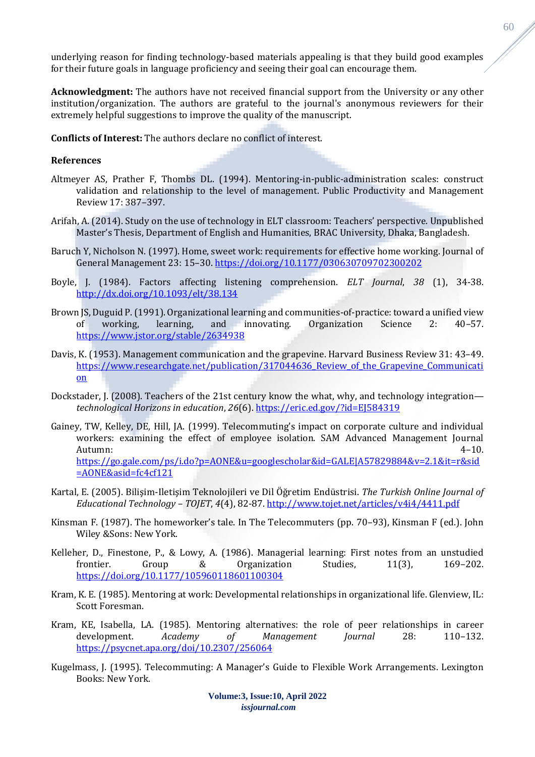underlying reason for finding technology-based materials appealing is that they build good examples for their future goals in language proficiency and seeing their goal can encourage them.

**Acknowledgment:** The authors have not received financial support from the University or any other institution/organization. The authors are grateful to the journal's anonymous reviewers for their extremely helpful suggestions to improve the quality of the manuscript.

**Conflicts of Interest:** The authors declare no conflict of interest.

## **References**

- Altmeyer AS, Prather F, Thombs DL. (1994). Mentoring-in-public-administration scales: construct validation and relationship to the level of management. Public Productivity and Management Review 17: 387–397.
- Arifah, A. (2014). Study on the use of technology in ELT classroom: Teachers' perspective. Unpublished Master's Thesis, Department of English and Humanities, BRAC University, Dhaka, Bangladesh.
- Baruch Y, Nicholson N. (1997). Home, sweet work: requirements for effective home working. Journal of General Management 23: 15–30. <https://doi.org/10.1177/030630709702300202>
- Boyle, J. (1984). Factors affecting listening comprehension. *ELT Journal*, *38* (1), 34-38. <http://dx.doi.org/10.1093/elt/38.134>
- Brown JS, Duguid P. (1991). Organizational learning and communities-of-practice: toward a unified view of working, learning, and innovating. Organization Science 2: 40–57. <https://www.jstor.org/stable/2634938>
- Davis, K. (1953). Management communication and the grapevine. Harvard Business Review 31: 43–49. https://www.researchgate.net/publication/317044636 Review of the Grapevine Communicati [on](https://www.researchgate.net/publication/317044636_Review_of_the_Grapevine_Communication)
- Dockstader, J. (2008). Teachers of the 21st century know the what, why, and technology integration *technological Horizons in education*, *26*(6). <https://eric.ed.gov/?id=EJ584319>
- Gainey, TW, Kelley, DE, Hill, JA. (1999). Telecommuting's impact on corporate culture and individual workers: examining the effect of employee isolation. SAM Advanced Management Journal Autumn: 4–10. [https://go.gale.com/ps/i.do?p=AONE&u=googlescholar&id=GALE|A57829884&v=2.1&it=r&sid](https://go.gale.com/ps/i.do?p=AONE&u=googlescholar&id=GALE|A57829884&v=2.1&it=r&sid=AONE&asid=fc4cf121) [=AONE&asid=fc4cf121](https://go.gale.com/ps/i.do?p=AONE&u=googlescholar&id=GALE|A57829884&v=2.1&it=r&sid=AONE&asid=fc4cf121)
- Kartal, E. (2005). Bilişim-Iletişim Teknolojileri ve Dil Öğretim Endüstrisi. *The Turkish Online Journal of Educational Technology – TOJET*, *4*(4), 82-87. <http://www.tojet.net/articles/v4i4/4411.pdf>
- Kinsman F. (1987). The homeworker's tale. In The Telecommuters (pp. 70–93), Kinsman F (ed.). John Wiley &Sons: New York.
- Kelleher, D., Finestone, P., & Lowy, A. (1986). Managerial learning: First notes from an unstudied frontier. Group & Organization Studies, 11(3), 169–202. <https://doi.org/10.1177/105960118601100304>
- Kram, K. E. (1985). Mentoring at work: Developmental relationships in organizational life. Glenview, IL: Scott Foresman.
- Kram, KE, Isabella, LA. (1985). Mentoring alternatives: the role of peer relationships in career development. *Academy of Management Journal* 28: 110–132. <https://psycnet.apa.org/doi/10.2307/256064>
- Kugelmass, J. (1995). Telecommuting: A Manager's Guide to Flexible Work Arrangements. Lexington Books: New York.

60